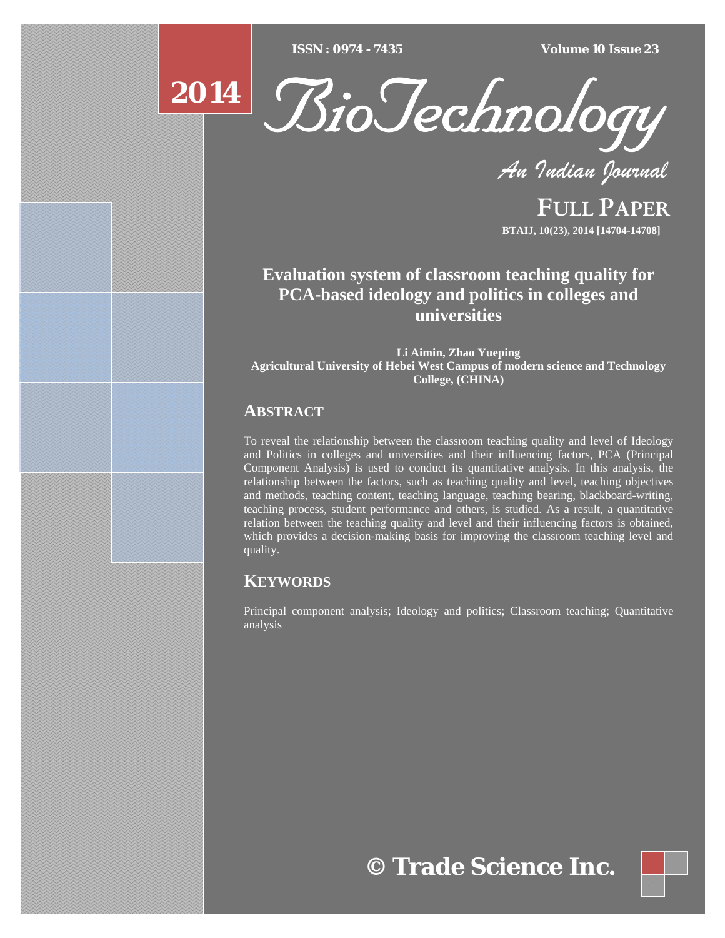$\overline{ISSN} : 0974 - 7435$ 

*ISSN : 0974 - 7435 Volume 10 Issue 23*





*An Indian Journal*

FULL PAPER **BTAIJ, 10(23), 2014 [14704-14708]**

**Evaluation system of classroom teaching quality for PCA-based ideology and politics in colleges and universities** 

**Li Aimin, Zhao Yueping Agricultural University of Hebei West Campus of modern science and Technology College, (CHINA)** 

# **ABSTRACT**

To reveal the relationship between the classroom teaching quality and level of Ideology and Politics in colleges and universities and their influencing factors, PCA (Principal Component Analysis) is used to conduct its quantitative analysis. In this analysis, the relationship between the factors, such as teaching quality and level, teaching objectives and methods, teaching content, teaching language, teaching bearing, blackboard-writing, teaching process, student performance and others, is studied. As a result, a quantitative relation between the teaching quality and level and their influencing factors is obtained, which provides a decision-making basis for improving the classroom teaching level and quality.

## **KEYWORDS**

Principal component analysis; Ideology and politics; Classroom teaching; Quantitative analysis

**© Trade Science Inc.**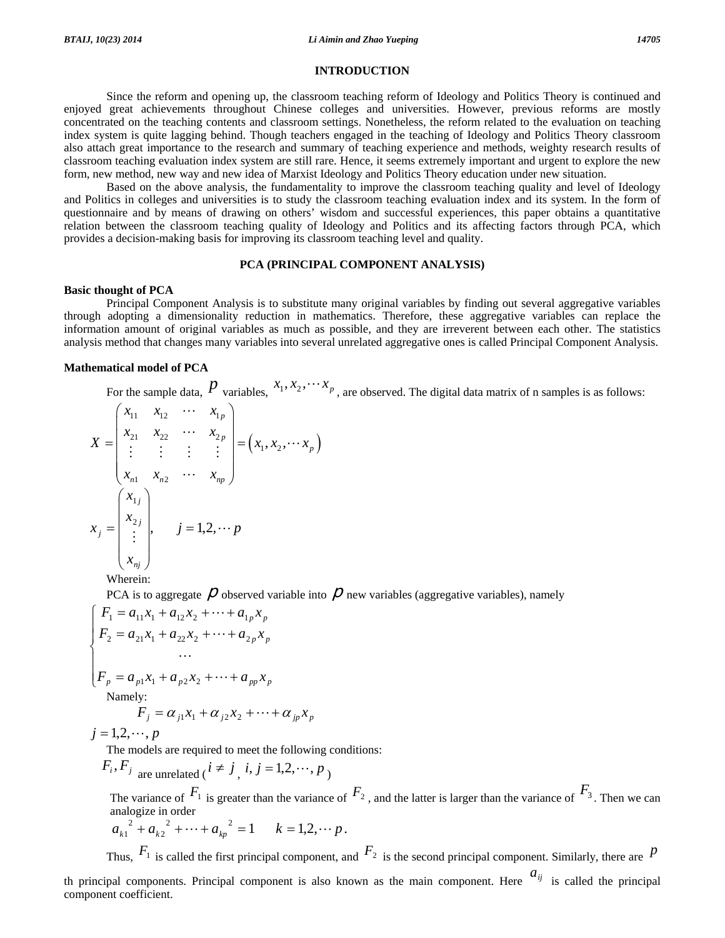#### **INTRODUCTION**

 Since the reform and opening up, the classroom teaching reform of Ideology and Politics Theory is continued and enjoyed great achievements throughout Chinese colleges and universities. However, previous reforms are mostly concentrated on the teaching contents and classroom settings. Nonetheless, the reform related to the evaluation on teaching index system is quite lagging behind. Though teachers engaged in the teaching of Ideology and Politics Theory classroom also attach great importance to the research and summary of teaching experience and methods, weighty research results of classroom teaching evaluation index system are still rare. Hence, it seems extremely important and urgent to explore the new form, new method, new way and new idea of Marxist Ideology and Politics Theory education under new situation.

 Based on the above analysis, the fundamentality to improve the classroom teaching quality and level of Ideology and Politics in colleges and universities is to study the classroom teaching evaluation index and its system. In the form of questionnaire and by means of drawing on others' wisdom and successful experiences, this paper obtains a quantitative relation between the classroom teaching quality of Ideology and Politics and its affecting factors through PCA, which provides a decision-making basis for improving its classroom teaching level and quality.

### **PCA (PRINCIPAL COMPONENT ANALYSIS)**

#### **Basic thought of PCA**

 Principal Component Analysis is to substitute many original variables by finding out several aggregative variables through adopting a dimensionality reduction in mathematics. Therefore, these aggregative variables can replace the information amount of original variables as much as possible, and they are irreverent between each other. The statistics analysis method that changes many variables into several unrelated aggregative ones is called Principal Component Analysis.

#### **Mathematical model of PCA**

For the sample data,  $P$  variables,  $x_1, x_2, \cdots x_p$ , are observed. The digital data matrix of n samples is as follows:

$$
X = \begin{pmatrix} x_{11} & x_{12} & \cdots & x_{1p} \\ x_{21} & x_{22} & \cdots & x_{2p} \\ \vdots & \vdots & \vdots & \vdots \\ x_{n1} & x_{n2} & \cdots & x_{np} \end{pmatrix} = (x_1, x_2, \cdots x_p)
$$

$$
x_j = \begin{pmatrix} x_{1j} \\ x_{2j} \\ \vdots \\ x_{nj} \end{pmatrix}, \quad j = 1, 2, \cdots p
$$

Wherein:

PCA is to aggregate  $\rho$  observed variable into  $\rho$  new variables (aggregative variables), namely

$$
\begin{cases}\nF_1 = a_{11}x_1 + a_{12}x_2 + \dots + a_{1p}x_p \\
F_2 = a_{21}x_1 + a_{22}x_2 + \dots + a_{2p}x_p \\
& \dots \\
F_p = a_{p1}x_1 + a_{p2}x_2 + \dots + a_{pp}x_p\n\end{cases}
$$
\nNamely:

\n
$$
F = \alpha, \quad x_1 \in \alpha, \quad x_2 \in \alpha, \quad x_3 \in \alpha, \quad x_4 \in \alpha, \quad x_5 \in \alpha, \quad x_6 \in \alpha, \quad x_6 \in \alpha, \quad x_7 \in \alpha, \quad x_8 \in \alpha, \quad x_9 \in \alpha, \quad x_9 \in \alpha, \quad x_1 \in \alpha, \quad x_1 \in \alpha, \quad x_2 \in \alpha, \quad x_3 \in \alpha, \quad x_4 \in \alpha, \quad x_5 \in \alpha, \quad x_6 \in \alpha, \quad x_7 \in \alpha, \quad x_8 \in \alpha, \quad x_9 \in \alpha, \quad x_9 \in \alpha, \quad x_1 \in \alpha, \quad x_2 \in \alpha, \quad x_3 \in \alpha, \quad x_4 \in \alpha, \quad x_5 \in \alpha, \quad x_6 \in \alpha, \quad x_7 \in \alpha, \quad x_8 \in \alpha, \quad x_9 \in \alpha, \quad x_9 \in \alpha, \quad x_1 \in \alpha, \quad x_1 \in \alpha, \quad x_2 \in \alpha, \quad x_3 \in \alpha, \quad x_4 \in \alpha, \quad x_1 \in \alpha, \quad x_2 \in \alpha, \quad x_3 \in \alpha, \quad x_4 \in \alpha, \quad x_5 \in \alpha, \quad x_6 \in \alpha, \quad x_7 \in \alpha, \quad x_8 \in \alpha, \quad x_9 \in \alpha, \quad x_9 \in \alpha, \quad x_1 \in \alpha, \quad x_1 \in \alpha, \quad x_2 \in \alpha, \quad x_4 \in \alpha, \quad x_5 \in \alpha, \quad x_6 \in \alpha, \quad x_7 \in \alpha, \quad x_8 \in \alpha, \quad x_9 \in \alpha, \quad x_9 \in \alpha, \quad x_1 \in \alpha, \quad x_1 \in \alpha, \quad x_2 \in \alpha, \quad x_1 \in \alpha, \quad x_2 \in \alpha, \quad x_3 \
$$

$$
F_j = \alpha_{j1}x_1 + \alpha_{j2}x_2 + \dots + \alpha_{jp}x_p
$$

 $j = 1, 2, \dots, p$ 

The models are required to meet the following conditions:

$$
F_i, F_j
$$
 are unrelated  $(i \neq j, i, j = 1, 2, \dots, p)$ 

The variance of  $F_1$  is greater than the variance of  $F_2$ , and the latter is larger than the variance of  $F_3$ . Then we can analogize in order

$$
a_{k1}^{2} + a_{k2}^{2} + \dots + a_{kp}^{2} = 1 \qquad k = 1, 2, \cdots p.
$$

Thus,  $F_1$  is called the first principal component, and  $F_2$  is the second principal component. Similarly, there are  $P$ 

th principal components. Principal component is also known as the main component. Here  $a_{ij}$  is called the principal component coefficient.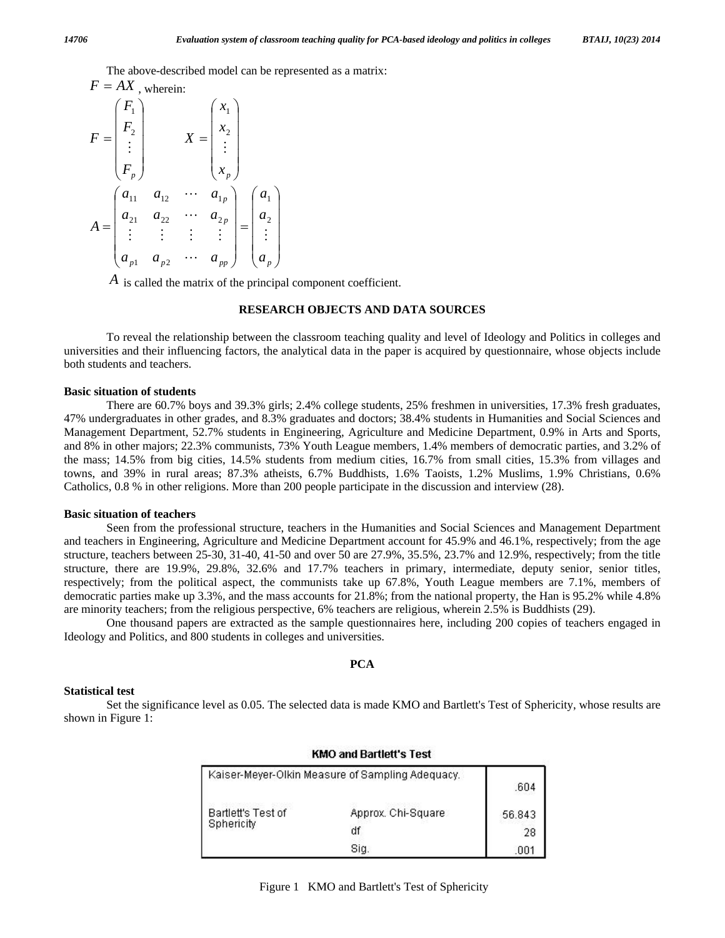The above-described model can be represented as a matrix:

$$
F = A\mathbf{A}
$$
, wherein:  
\n
$$
F = \begin{pmatrix} F_1 \\ F_2 \\ \vdots \\ F_p \end{pmatrix}
$$
  
\n
$$
X = \begin{pmatrix} x_1 \\ x_2 \\ \vdots \\ x_p \end{pmatrix}
$$
  
\n
$$
A = \begin{pmatrix} a_{11} & a_{12} & \cdots & a_{1p} \\ a_{21} & a_{22} & \cdots & a_{2p} \\ \vdots & \vdots & \vdots & \vdots \\ a_{p1} & a_{p2} & \cdots & a_{pp} \end{pmatrix} = \begin{pmatrix} a_1 \\ a_2 \\ \vdots \\ a_p \end{pmatrix}
$$

*A* is called the matrix of the principal component coefficient.

### **RESEARCH OBJECTS AND DATA SOURCES**

 To reveal the relationship between the classroom teaching quality and level of Ideology and Politics in colleges and universities and their influencing factors, the analytical data in the paper is acquired by questionnaire, whose objects include both students and teachers.

### **Basic situation of students**

 There are 60.7% boys and 39.3% girls; 2.4% college students, 25% freshmen in universities, 17.3% fresh graduates, 47% undergraduates in other grades, and 8.3% graduates and doctors; 38.4% students in Humanities and Social Sciences and Management Department, 52.7% students in Engineering, Agriculture and Medicine Department, 0.9% in Arts and Sports, and 8% in other majors; 22.3% communists, 73% Youth League members, 1.4% members of democratic parties, and 3.2% of the mass; 14.5% from big cities, 14.5% students from medium cities, 16.7% from small cities, 15.3% from villages and towns, and 39% in rural areas; 87.3% atheists, 6.7% Buddhists, 1.6% Taoists, 1.2% Muslims, 1.9% Christians, 0.6% Catholics, 0.8 % in other religions. More than 200 people participate in the discussion and interview (28).

### **Basic situation of teachers**

 Seen from the professional structure, teachers in the Humanities and Social Sciences and Management Department and teachers in Engineering, Agriculture and Medicine Department account for 45.9% and 46.1%, respectively; from the age structure, teachers between 25-30, 31-40, 41-50 and over 50 are 27.9%, 35.5%, 23.7% and 12.9%, respectively; from the title structure, there are 19.9%, 29.8%, 32.6% and 17.7% teachers in primary, intermediate, deputy senior, senior titles, respectively; from the political aspect, the communists take up 67.8%, Youth League members are 7.1%, members of democratic parties make up 3.3%, and the mass accounts for 21.8%; from the national property, the Han is 95.2% while 4.8% are minority teachers; from the religious perspective, 6% teachers are religious, wherein 2.5% is Buddhists (29).

 One thousand papers are extracted as the sample questionnaires here, including 200 copies of teachers engaged in Ideology and Politics, and 800 students in colleges and universities.

## **PCA**

#### **Statistical test**

 Set the significance level as 0.05. The selected data is made KMO and Bartlett's Test of Sphericity, whose results are shown in Figure 1:

|                                                  | INWO ANU DARUGU 3 TGSL |        |
|--------------------------------------------------|------------------------|--------|
| Kaiser-Meyer-Olkin Measure of Sampling Adequacy. | .604                   |        |
| Bartlett's Test of                               | Approx. Chi-Square     | 56.843 |
| Sphericity                                       | df                     | -28    |
|                                                  | Sia.                   | .00    |

## KMO and Dartlott's Toot

*F* = *AX* , wherein: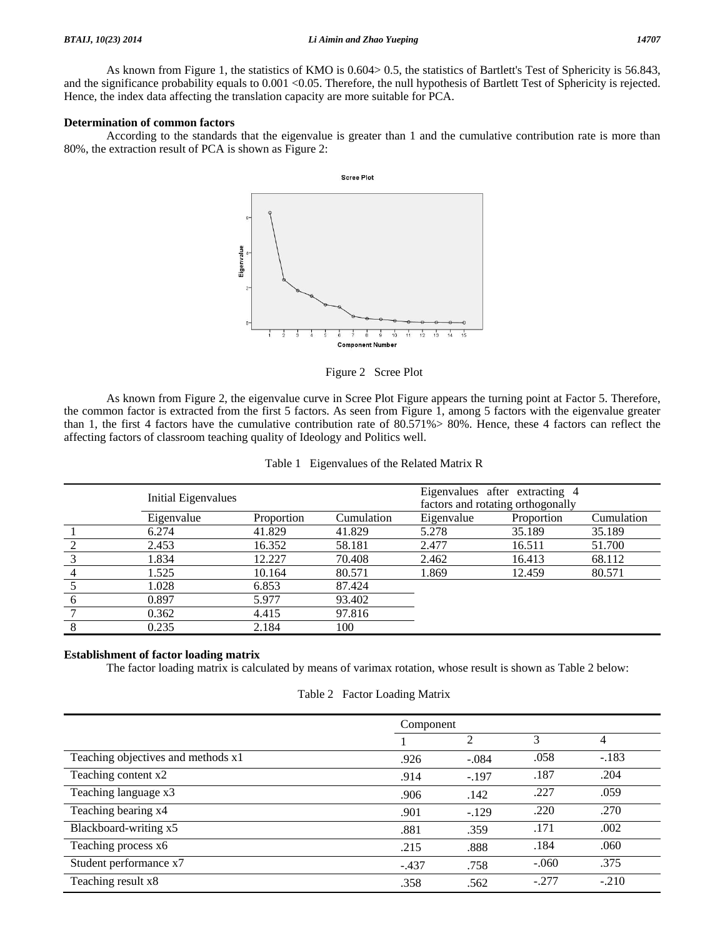As known from Figure 1, the statistics of KMO is 0.604> 0.5, the statistics of Bartlett's Test of Sphericity is 56.843, and the significance probability equals to  $0.001 < 0.05$ . Therefore, the null hypothesis of Bartlett Test of Sphericity is rejected. Hence, the index data affecting the translation capacity are more suitable for PCA.

### **Determination of common factors**

 According to the standards that the eigenvalue is greater than 1 and the cumulative contribution rate is more than 80%, the extraction result of PCA is shown as Figure 2:



Figure 2 Scree Plot

 As known from Figure 2, the eigenvalue curve in Scree Plot Figure appears the turning point at Factor 5. Therefore, the common factor is extracted from the first 5 factors. As seen from Figure 1, among 5 factors with the eigenvalue greater than 1, the first 4 factors have the cumulative contribution rate of 80.571%> 80%. Hence, these 4 factors can reflect the affecting factors of classroom teaching quality of Ideology and Politics well.

| Initial Eigenvalues |            |            | Eigenvalues after extracting 4<br>factors and rotating orthogonally |            |            |  |
|---------------------|------------|------------|---------------------------------------------------------------------|------------|------------|--|
| Eigenvalue          | Proportion | Cumulation | Eigenvalue                                                          | Proportion | Cumulation |  |
| 6.274               | 41.829     | 41.829     | 5.278                                                               | 35.189     | 35.189     |  |
| 2.453               | 16.352     | 58.181     | 2.477                                                               | 16.511     | 51.700     |  |
| 1.834               | 12.227     | 70.408     | 2.462                                                               | 16.413     | 68.112     |  |
| 1.525               | 10.164     | 80.571     | 1.869                                                               | 12.459     | 80.571     |  |
| 1.028               | 6.853      | 87.424     |                                                                     |            |            |  |
| 0.897               | 5.977      | 93.402     |                                                                     |            |            |  |
| 0.362               | 4.415      | 97.816     |                                                                     |            |            |  |
| 0.235               | 2.184      | 100        |                                                                     |            |            |  |

|  | Table 1 Eigenvalues of the Related Matrix R |  |  |  |
|--|---------------------------------------------|--|--|--|
|--|---------------------------------------------|--|--|--|

### **Establishment of factor loading matrix**

The factor loading matrix is calculated by means of varimax rotation, whose result is shown as Table 2 below:

#### Table 2 Factor Loading Matrix

|                                    | Component |                |         |         |
|------------------------------------|-----------|----------------|---------|---------|
|                                    |           | $\overline{2}$ | 3       | 4       |
| Teaching objectives and methods x1 | .926      | $-.084$        | .058    | $-.183$ |
| Teaching content x2                | .914      | $-.197$        | .187    | .204    |
| Teaching language x3               | .906      | .142           | .227    | .059    |
| Teaching bearing x4                | .901      | $-.129$        | .220    | .270    |
| Blackboard-writing x5              | .881      | .359           | .171    | .002    |
| Teaching process x6                | .215      | .888           | .184    | .060    |
| Student performance x7             | $-.437$   | .758           | $-.060$ | .375    |
| Teaching result x8                 | .358      | .562           | $-.277$ | $-.210$ |